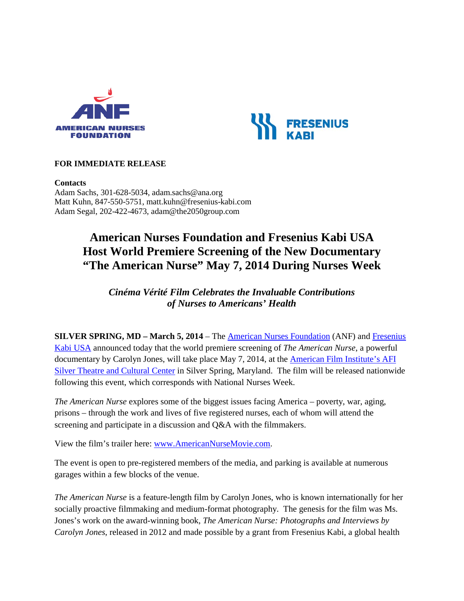



# **FOR IMMEDIATE RELEASE**

#### **Contacts**

Adam Sachs, 301-628-5034, adam.sachs@ana.org Matt Kuhn, 847-550-5751, matt.kuhn@fresenius-kabi.com Adam Segal, 202-422-4673, adam@the2050group.com

# **American Nurses Foundation and Fresenius Kabi USA Host World Premiere Screening of the New Documentary "The American Nurse" May 7, 2014 During Nurses Week**

*Cinéma Vérité Film Celebrates the Invaluable Contributions of Nurses to Americans' Health*

**SILVER SPRING, MD – March 5, 2014** – The American [Nurses Foundation](http://www.givetonursing.org/) (ANF) and [Fresenius](http://www.fresenius-kabi.us/)  [Kabi USA](http://www.fresenius-kabi.us/) announced today that the world premiere screening of *The American Nurse*, a powerful documentary by Carolyn Jones, will take place May 7, 2014, at the [American Film Institute'](http://www.afi.com/silver/)s AFI Silver Theatre and Cultural Center in Silver Spring, Maryland. The film will be released nationwide following this event, which corresponds with National Nurses Week.

*The American Nurse* explores some of the biggest issues facing America – poverty, war, aging, prisons – through the work and lives of five registered nurses, each of whom will attend the screening and participate in a discussion and Q&A with the filmmakers.

View the film's trailer here: [www.AmericanNurseMovie.com.](http://www.americannursemovie.com/)

The event is open to pre-registered members of the media, and parking is available at numerous garages within a few blocks of the venue.

*The American Nurse* is a feature-length film by Carolyn Jones, who is known internationally for her socially proactive filmmaking and medium-format photography. The genesis for the film was Ms. Jones's work on the award-winning book, *The American Nurse: Photographs and Interviews by Carolyn Jones*, released in 2012 and made possible by a grant from Fresenius Kabi, a global health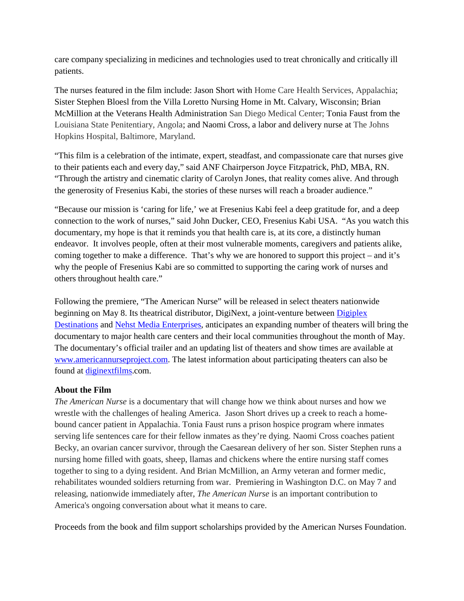care company specializing in medicines and technologies used to treat chronically and critically ill patients.

The nurses featured in the film include: Jason Short with Home Care Health Services, Appalachia; Sister Stephen Bloesl from the Villa Loretto Nursing Home in Mt. Calvary, Wisconsin; Brian McMillion at the Veterans Health Administration San Diego Medical Center; Tonia Faust from the Louisiana State Penitentiary, Angola; and Naomi Cross, a labor and delivery nurse at The Johns Hopkins Hospital, Baltimore, Maryland.

"This film is a celebration of the intimate, expert, steadfast, and compassionate care that nurses give to their patients each and every day," said ANF Chairperson Joyce Fitzpatrick, PhD, MBA, RN. "Through the artistry and cinematic clarity of Carolyn Jones, that reality comes alive. And through the generosity of Fresenius Kabi, the stories of these nurses will reach a broader audience."

"Because our mission is 'caring for life,' we at Fresenius Kabi feel a deep gratitude for, and a deep connection to the work of nurses," said John Ducker, CEO, Fresenius Kabi USA. "As you watch this documentary, my hope is that it reminds you that health care is, at its core, a distinctly human endeavor. It involves people, often at their most vulnerable moments, caregivers and patients alike, coming together to make a difference. That's why we are honored to support this project – and it's why the people of Fresenius Kabi are so committed to supporting the caring work of nurses and others throughout health care."

Following the premiere, "The American Nurse" will be released in select theaters nationwide beginning on May 8. Its theatrical distributor, DigiNext, a joint-venture between [Digiplex](http://www.digiplexdest.com/)  [Destinations](http://www.digiplexdest.com/) and [Nehst Media Enterprises,](http://www.nehst.com/) anticipates an expanding number of theaters will bring the documentary to major health care centers and their local communities throughout the month of May. The documentary's official trailer and an updating list of theaters and show times are available at [www.americannurseproject.com.](http://www.americannurseproject.com/) The latest information about participating theaters can also be found at [diginextfilms.](http://www.diginextfilms.com/)com.

# **About the Film**

*The American Nurse* is a documentary that will change how we think about nurses and how we wrestle with the challenges of healing America. Jason Short drives up a creek to reach a homebound cancer patient in Appalachia. Tonia Faust runs a prison hospice program where inmates serving life sentences care for their fellow inmates as they're dying. Naomi Cross coaches patient Becky, an ovarian cancer survivor, through the Caesarean delivery of her son. Sister Stephen runs a nursing home filled with goats, sheep, llamas and chickens where the entire nursing staff comes together to sing to a dying resident. And Brian McMillion, an Army veteran and former medic, rehabilitates wounded soldiers returning from war. Premiering in Washington D.C. on May 7 and releasing, nationwide immediately after, *The American Nurse* is an important contribution to America's ongoing conversation about what it means to care.

Proceeds from the book and film support scholarships provided by the American Nurses Foundation.